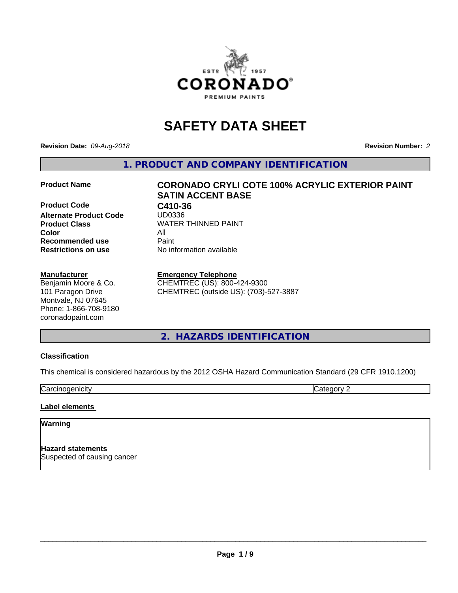

# **SAFETY DATA SHEET**

**Revision Date:** *09-Aug-2018* **Revision Number:** *2*

**1. PRODUCT AND COMPANY IDENTIFICATION**

**Product Code C410-36**<br>Alternate Product Code UD0336 **Alternate Product Code Color** All **Recommended use** Paint<br> **Restrictions on use** Mo information available **Restrictions on use** 

#### **Manufacturer**

Benjamin Moore & Co. 101 Paragon Drive Montvale, NJ 07645 Phone: 1-866-708-9180 coronadopaint.com

# **Product Name CORONADO CRYLI COTE 100% ACRYLIC EXTERIOR PAINT SATIN ACCENT BASE Product Class** WATER THINNED PAINT<br>
Color

**Emergency Telephone** CHEMTREC (US): 800-424-9300 CHEMTREC (outside US): (703)-527-3887

**2. HAZARDS IDENTIFICATION**

#### **Classification**

This chemical is considered hazardous by the 2012 OSHA Hazard Communication Standard (29 CFR 1910.1200)

**Carcinogenicity** Category 2

#### **Label elements**

#### **Warning**

**Hazard statements** Suspected of causing cancer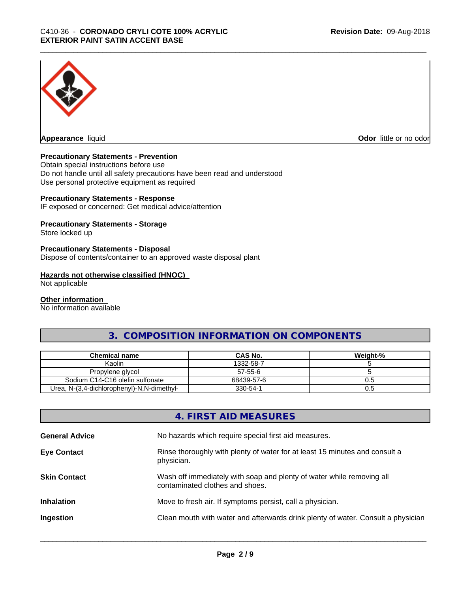

**Appearance** liquid

**Odor** little or no odor

#### **Precautionary Statements - Prevention**

Obtain special instructions before use Do not handle until all safety precautions have been read and understood Use personal protective equipment as required

#### **Precautionary Statements - Response**

IF exposed or concerned: Get medical advice/attention

#### **Precautionary Statements - Storage**

Store locked up

#### **Precautionary Statements - Disposal**

Dispose of contents/container to an approved waste disposal plant

#### **Hazards not otherwise classified (HNOC)**

Not applicable

#### **Other information**

No information available

# **3. COMPOSITION INFORMATION ON COMPONENTS**

| Chemical name                              | <b>CAS No.</b> | Weight-% |
|--------------------------------------------|----------------|----------|
| Kaolin                                     | 1332-58-7      |          |
| Propylene glycol                           | 57-55-6        |          |
| Sodium C14-C16 olefin sulfonate            | 68439-57-6     | U.5      |
| Urea, N-(3,4-dichlorophenyl)-N,N-dimethyl- | 330-54-1       | U.5      |

# **4. FIRST AID MEASURES**

| <b>General Advice</b> | No hazards which require special first aid measures.                                                     |
|-----------------------|----------------------------------------------------------------------------------------------------------|
| <b>Eye Contact</b>    | Rinse thoroughly with plenty of water for at least 15 minutes and consult a<br>physician.                |
| <b>Skin Contact</b>   | Wash off immediately with soap and plenty of water while removing all<br>contaminated clothes and shoes. |
| <b>Inhalation</b>     | Move to fresh air. If symptoms persist, call a physician.                                                |
| Ingestion             | Clean mouth with water and afterwards drink plenty of water. Consult a physician                         |
|                       |                                                                                                          |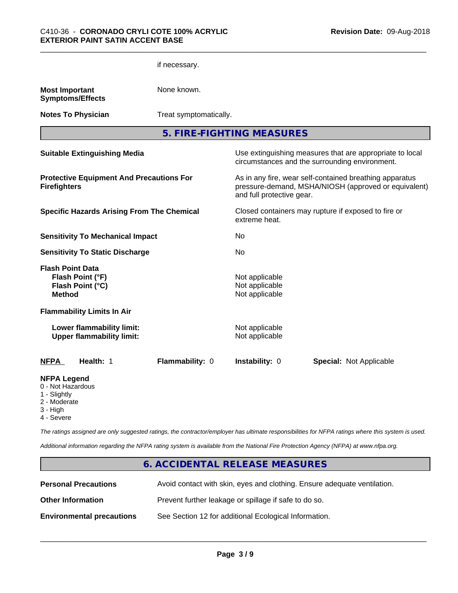|                                                                                                   | if necessary.   |                                                    |                                                                                                                                              |  |  |
|---------------------------------------------------------------------------------------------------|-----------------|----------------------------------------------------|----------------------------------------------------------------------------------------------------------------------------------------------|--|--|
| <b>Most Important</b><br><b>Symptoms/Effects</b>                                                  | None known.     |                                                    |                                                                                                                                              |  |  |
| <b>Notes To Physician</b>                                                                         |                 | Treat symptomatically.                             |                                                                                                                                              |  |  |
|                                                                                                   |                 | 5. FIRE-FIGHTING MEASURES                          |                                                                                                                                              |  |  |
| <b>Suitable Extinguishing Media</b>                                                               |                 |                                                    | Use extinguishing measures that are appropriate to local<br>circumstances and the surrounding environment.                                   |  |  |
| <b>Protective Equipment And Precautions For</b><br><b>Firefighters</b>                            |                 |                                                    | As in any fire, wear self-contained breathing apparatus<br>pressure-demand, MSHA/NIOSH (approved or equivalent)<br>and full protective gear. |  |  |
| <b>Specific Hazards Arising From The Chemical</b>                                                 |                 | extreme heat.                                      | Closed containers may rupture if exposed to fire or                                                                                          |  |  |
| <b>Sensitivity To Mechanical Impact</b>                                                           |                 | No                                                 |                                                                                                                                              |  |  |
| <b>Sensitivity To Static Discharge</b>                                                            |                 | No                                                 |                                                                                                                                              |  |  |
| <b>Flash Point Data</b><br>Flash Point (°F)<br>Flash Point (°C)<br><b>Method</b>                  |                 | Not applicable<br>Not applicable<br>Not applicable |                                                                                                                                              |  |  |
| <b>Flammability Limits In Air</b>                                                                 |                 |                                                    |                                                                                                                                              |  |  |
| Lower flammability limit:<br><b>Upper flammability limit:</b>                                     |                 | Not applicable<br>Not applicable                   |                                                                                                                                              |  |  |
| Health: 1<br><b>NFPA</b>                                                                          | Flammability: 0 | Instability: 0                                     | <b>Special: Not Applicable</b>                                                                                                               |  |  |
| <b>NFPA Legend</b><br>0 - Not Hazardous<br>1 - Slightly<br>2 - Moderate<br>3 - High<br>4 - Severe |                 |                                                    |                                                                                                                                              |  |  |

*The ratings assigned are only suggested ratings, the contractor/employer has ultimate responsibilities for NFPA ratings where this system is used.*

*Additional information regarding the NFPA rating system is available from the National Fire Protection Agency (NFPA) at www.nfpa.org.*

# **6. ACCIDENTAL RELEASE MEASURES**

| <b>Personal Precautions</b>      | Avoid contact with skin, eyes and clothing. Ensure adequate ventilation. |
|----------------------------------|--------------------------------------------------------------------------|
| <b>Other Information</b>         | Prevent further leakage or spillage if safe to do so.                    |
| <b>Environmental precautions</b> | See Section 12 for additional Ecological Information.                    |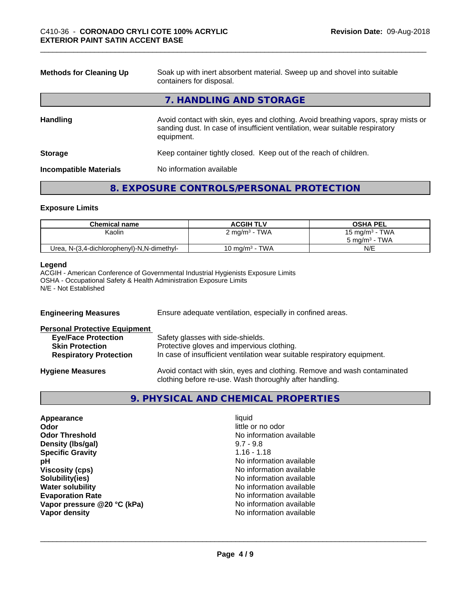| <b>Methods for Cleaning Up</b> | Soak up with inert absorbent material. Sweep up and shovel into suitable<br>containers for disposal.                                                                             |  |
|--------------------------------|----------------------------------------------------------------------------------------------------------------------------------------------------------------------------------|--|
|                                | 7. HANDLING AND STORAGE                                                                                                                                                          |  |
| <b>Handling</b>                | Avoid contact with skin, eyes and clothing. Avoid breathing vapors, spray mists or<br>sanding dust. In case of insufficient ventilation, wear suitable respiratory<br>equipment. |  |
| <b>Storage</b>                 | Keep container tightly closed. Keep out of the reach of children.                                                                                                                |  |
| <b>Incompatible Materials</b>  | No information available                                                                                                                                                         |  |

# **8. EXPOSURE CONTROLS/PERSONAL PROTECTION**

#### **Exposure Limits**

| <b>Chemical name</b>                       | <b>ACGIH TLV</b>         | <b>OSHA PEL</b>                    |
|--------------------------------------------|--------------------------|------------------------------------|
| Kaolin                                     | $2 \text{ mg/m}^3$ - TWA | 15 mg/m $3$ - TWA                  |
|                                            |                          | <b>TWA</b><br>$5 \text{ ma/m}^3$ - |
| Urea, N-(3,4-dichlorophenyl)-N,N-dimethyl- | 10 mg/m $3$ - TWA        | N/E                                |

#### **Legend**

ACGIH - American Conference of Governmental Industrial Hygienists Exposure Limits OSHA - Occupational Safety & Health Administration Exposure Limits N/E - Not Established

| <b>Engineering Measures</b>                                                                                                   | Ensure adequate ventilation, especially in confined areas.                                                                                                  |  |  |
|-------------------------------------------------------------------------------------------------------------------------------|-------------------------------------------------------------------------------------------------------------------------------------------------------------|--|--|
| <b>Personal Protective Equipment</b><br><b>Eye/Face Protection</b><br><b>Skin Protection</b><br><b>Respiratory Protection</b> | Safety glasses with side-shields.<br>Protective gloves and impervious clothing.<br>In case of insufficient ventilation wear suitable respiratory equipment. |  |  |
| <b>Hygiene Measures</b>                                                                                                       | Avoid contact with skin, eyes and clothing. Remove and wash contaminated<br>clothing before re-use. Wash thoroughly after handling.                         |  |  |

# **9. PHYSICAL AND CHEMICAL PROPERTIES**

| Appearance<br>liquid        |                          |  |  |
|-----------------------------|--------------------------|--|--|
| Odor                        | little or no odor        |  |  |
| <b>Odor Threshold</b>       | No information available |  |  |
| Density (Ibs/gal)           | $9.7 - 9.8$              |  |  |
| <b>Specific Gravity</b>     | $1.16 - 1.18$            |  |  |
| рH                          | No information available |  |  |
| <b>Viscosity (cps)</b>      | No information available |  |  |
| Solubility(ies)             | No information available |  |  |
| <b>Water solubility</b>     | No information available |  |  |
| <b>Evaporation Rate</b>     | No information available |  |  |
| Vapor pressure @20 °C (kPa) | No information available |  |  |
| Vapor density               | No information available |  |  |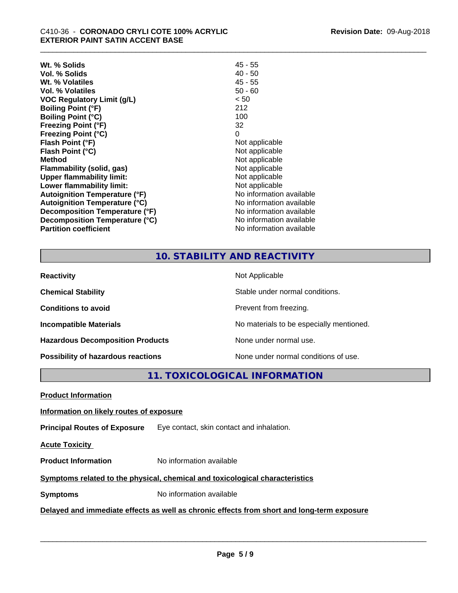| Wt. % Solids                         | $45 - 55$                |
|--------------------------------------|--------------------------|
| Vol. % Solids                        | $40 - 50$                |
| Wt. % Volatiles                      | $45 - 55$                |
| Vol. % Volatiles                     | $50 - 60$                |
| <b>VOC Regulatory Limit (g/L)</b>    | < 50                     |
| <b>Boiling Point (°F)</b>            | 212                      |
| <b>Boiling Point (°C)</b>            | 100                      |
| <b>Freezing Point (°F)</b>           | 32                       |
| <b>Freezing Point (°C)</b>           | 0                        |
| Flash Point (°F)                     | Not applicable           |
| Flash Point (°C)                     | Not applicable           |
| <b>Method</b>                        | Not applicable           |
| <b>Flammability (solid, gas)</b>     | Not applicable           |
| <b>Upper flammability limit:</b>     | Not applicable           |
| Lower flammability limit:            | Not applicable           |
| <b>Autoignition Temperature (°F)</b> | No information available |
| <b>Autoignition Temperature (°C)</b> | No information available |
| Decomposition Temperature (°F)       | No information available |
| Decomposition Temperature (°C)       | No information available |
| <b>Partition coefficient</b>         | No information available |

# **10. STABILITY AND REACTIVITY**

| <b>Reactivity</b>                         | Not Applicable                           |
|-------------------------------------------|------------------------------------------|
| <b>Chemical Stability</b>                 | Stable under normal conditions.          |
| <b>Conditions to avoid</b>                | Prevent from freezing.                   |
| <b>Incompatible Materials</b>             | No materials to be especially mentioned. |
| <b>Hazardous Decomposition Products</b>   | None under normal use.                   |
| <b>Possibility of hazardous reactions</b> | None under normal conditions of use.     |

**11. TOXICOLOGICAL INFORMATION**

**Product Information**

#### **Information on likely routes of exposure**

**Principal Routes of Exposure** Eye contact, skin contact and inhalation.

**Acute Toxicity** 

**Product Information** No information available

# **Symptoms** related to the physical, chemical and toxicological characteristics

**Symptoms** No information available

# **Delayed and immediate effects as well as chronic effects from short and long-term exposure**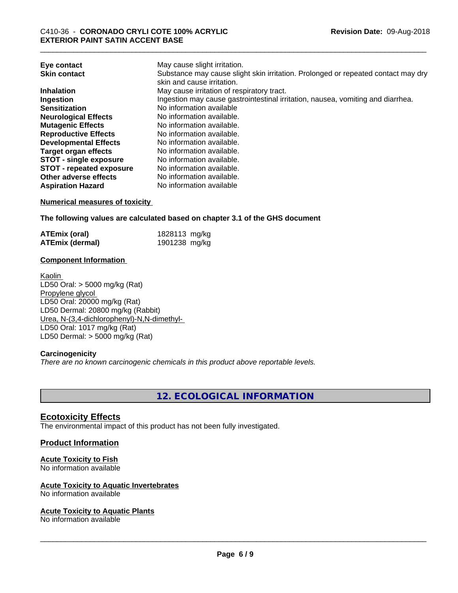|                                                                                   | Eye contact                     |
|-----------------------------------------------------------------------------------|---------------------------------|
| Substance may cause slight skin irritation. Prolonged or repeated contact may dry | <b>Skin contact</b>             |
| skin and cause irritation.                                                        |                                 |
| May cause irritation of respiratory tract.                                        | <b>Inhalation</b>               |
| Ingestion may cause gastrointestinal irritation, nausea, vomiting and diarrhea.   | Ingestion                       |
| No information available                                                          | <b>Sensitization</b>            |
| No information available.                                                         | <b>Neurological Effects</b>     |
| No information available.                                                         | <b>Mutagenic Effects</b>        |
| No information available.                                                         | <b>Reproductive Effects</b>     |
| No information available.                                                         | <b>Developmental Effects</b>    |
| No information available.                                                         | Target organ effects            |
| No information available.                                                         | <b>STOT - single exposure</b>   |
| No information available.                                                         | <b>STOT - repeated exposure</b> |
| No information available.                                                         | Other adverse effects           |
| No information available                                                          | <b>Aspiration Hazard</b>        |

#### **Numerical measures of toxicity**

**The following values are calculated based on chapter 3.1 of the GHS document**

| <b>ATEmix (oral)</b>   | 1828113 mg/kg |  |
|------------------------|---------------|--|
| <b>ATEmix (dermal)</b> | 1901238 mg/kg |  |

#### **Component Information**

Kaolin LD50 Oral: > 5000 mg/kg (Rat) Propylene glycol LD50 Oral: 20000 mg/kg (Rat) LD50 Dermal: 20800 mg/kg (Rabbit) Urea, N-(3,4-dichlorophenyl)-N,N-dimethyl- LD50 Oral: 1017 mg/kg (Rat) LD50 Dermal: > 5000 mg/kg (Rat)

#### **Carcinogenicity**

*There are no known carcinogenic chemicals in this product above reportable levels.*

**12. ECOLOGICAL INFORMATION**

# **Ecotoxicity Effects**

The environmental impact of this product has not been fully investigated.

# **Product Information**

#### **Acute Toxicity to Fish**

No information available

#### **Acute Toxicity to Aquatic Invertebrates**

No information available

#### **Acute Toxicity to Aquatic Plants**

No information available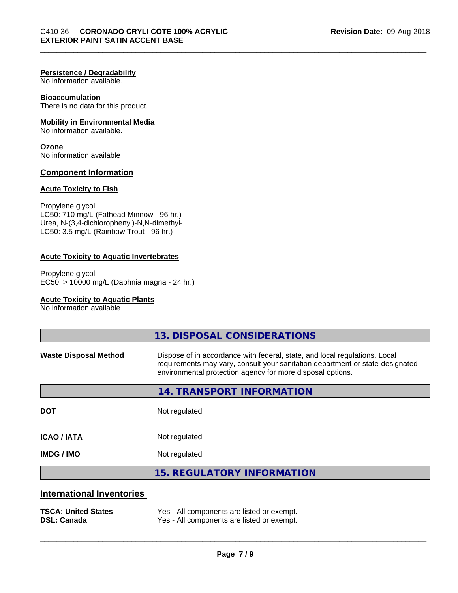#### **Persistence / Degradability**

No information available.

#### **Bioaccumulation**

There is no data for this product.

# **Mobility in Environmental Media**

No information available.

#### **Ozone** No information available

#### **Component Information**

#### **Acute Toxicity to Fish**

Propylene glycol LC50: 710 mg/L (Fathead Minnow - 96 hr.) Urea, N-(3,4-dichlorophenyl)-N,N-dimethyl- LC50: 3.5 mg/L (Rainbow Trout - 96 hr.)

# **Acute Toxicity to Aquatic Invertebrates**

Propylene glycol EC50: > 10000 mg/L (Daphnia magna - 24 hr.)

#### **Acute Toxicity to Aquatic Plants**

No information available

|                                                  | 13. DISPOSAL CONSIDERATIONS                                                                                                                                                                                               |
|--------------------------------------------------|---------------------------------------------------------------------------------------------------------------------------------------------------------------------------------------------------------------------------|
| <b>Waste Disposal Method</b>                     | Dispose of in accordance with federal, state, and local regulations. Local<br>requirements may vary, consult your sanitation department or state-designated<br>environmental protection agency for more disposal options. |
|                                                  | <b>14. TRANSPORT INFORMATION</b>                                                                                                                                                                                          |
| <b>DOT</b>                                       | Not regulated                                                                                                                                                                                                             |
| <b>ICAO/IATA</b>                                 | Not regulated                                                                                                                                                                                                             |
| <b>IMDG / IMO</b>                                | Not regulated                                                                                                                                                                                                             |
|                                                  | <b>15. REGULATORY INFORMATION</b>                                                                                                                                                                                         |
| <b>International Inventories</b>                 |                                                                                                                                                                                                                           |
| <b>TSCA: United States</b><br><b>DSL: Canada</b> | Yes - All components are listed or exempt.<br>Yes - All components are listed or exempt.                                                                                                                                  |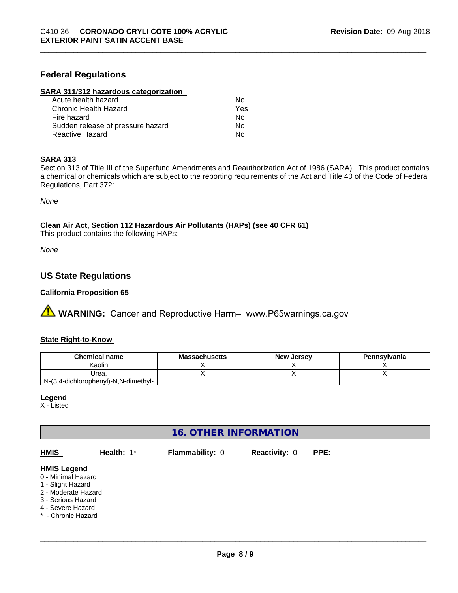# **Federal Regulations**

#### **SARA 311/312 hazardous categorization**

| Acute health hazard               | N٥  |
|-----------------------------------|-----|
| Chronic Health Hazard             | Yes |
| Fire hazard                       | Nο  |
| Sudden release of pressure hazard | Nο  |
| Reactive Hazard                   | N٥  |

#### **SARA 313**

Section 313 of Title III of the Superfund Amendments and Reauthorization Act of 1986 (SARA). This product contains a chemical or chemicals which are subject to the reporting requirements of the Act and Title 40 of the Code of Federal Regulations, Part 372:

*None*

**Clean Air Act,Section 112 Hazardous Air Pollutants (HAPs) (see 40 CFR 61)**

This product contains the following HAPs:

*None*

# **US State Regulations**

#### **California Proposition 65**

**A** WARNING: Cancer and Reproductive Harm– www.P65warnings.ca.gov

#### **State Right-to-Know**

| <b>Chemical name</b>                 | <b>Massachusetts</b> | , Jersev<br><b>New</b> | Pennsylvania |
|--------------------------------------|----------------------|------------------------|--------------|
| Kaolin                               |                      |                        |              |
| Urea                                 |                      |                        |              |
| N-(3,4-dichlorophenyl)-N,N-dimethyl- |                      |                        |              |

#### **Legend**

X - Listed

# **16. OTHER INFORMATION**

| HMIS -                                                                                                                                                | Health: $1^*$ | <b>Flammability: 0</b> | <b>Reactivity: 0</b> | $PPE: -$ |
|-------------------------------------------------------------------------------------------------------------------------------------------------------|---------------|------------------------|----------------------|----------|
| <b>HMIS Legend</b><br>0 - Minimal Hazard<br>1 - Slight Hazard<br>2 - Moderate Hazard<br>3 - Serious Hazard<br>4 - Severe Hazard<br>* - Chronic Hazard |               |                        |                      |          |